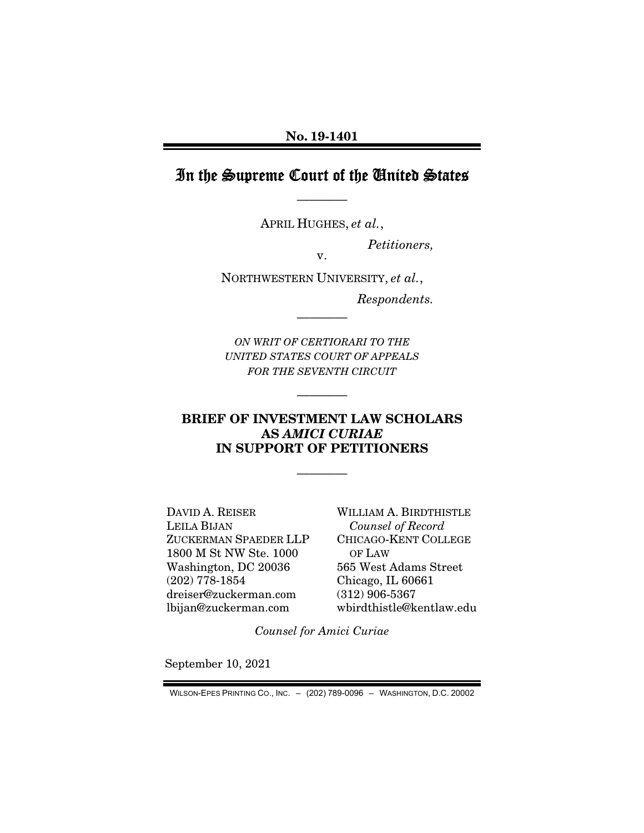# In the Supreme Court of the United States

————

APRIL HUGHES, *et al.*,

*Petitioners,* 

NORTHWESTERN UNIVERSITY, *et al.*,

————

v.

*Respondents.* 

*ON WRIT OF CERTIORARI TO THE UNITED STATES COURT OF APPEALS FOR THE SEVENTH CIRCUIT*

## BRIEF OF INVESTMENT LAW SCHOLARS AS *AMICI CURIAE*  IN SUPPORT OF PETITIONERS

————

————

DAVID A. REISER LEILA BIJAN ZUCKERMAN SPAEDER LLP 1800 M St NW Ste. 1000 Washington, DC 20036 (202) 778-1854 dreiser@zuckerman.com lbijan@zuckerman.com

WILLIAM A. BIRDTHISTLE *Counsel of Record*  CHICAGO-KENT COLLEGE OF LAW 565 West Adams Street Chicago, IL 60661 (312) 906-5367 wbirdthistle@kentlaw.edu

*Counsel for Amici Curiae* 

September 10, 2021

WILSON-EPES PRINTING CO., INC. – (202) 789-0096 – WASHINGTON, D.C. 20002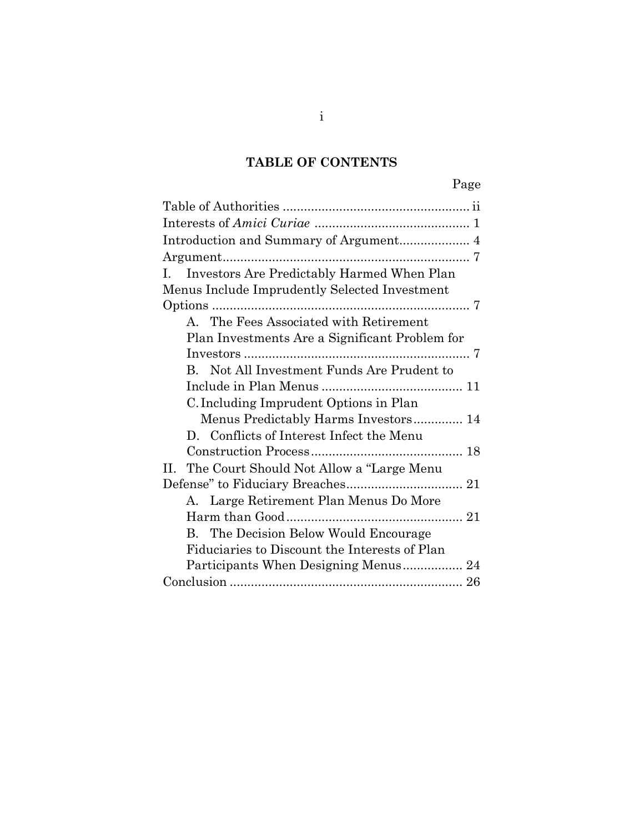# **TABLE OF CONTENTS**

| Introduction and Summary of Argument 4                     |
|------------------------------------------------------------|
|                                                            |
| Investors Are Predictably Harmed When Plan<br>$\mathbf{L}$ |
| Menus Include Imprudently Selected Investment              |
|                                                            |
| A. The Fees Associated with Retirement                     |
| Plan Investments Are a Significant Problem for             |
|                                                            |
| B. Not All Investment Funds Are Prudent to                 |
|                                                            |
| C. Including Imprudent Options in Plan                     |
| Menus Predictably Harms Investors 14                       |
| D. Conflicts of Interest Infect the Menu                   |
|                                                            |
| II. The Court Should Not Allow a "Large Menu"              |
|                                                            |
| A. Large Retirement Plan Menus Do More                     |
|                                                            |
| B. The Decision Below Would Encourage                      |
| Fiduciaries to Discount the Interests of Plan              |
|                                                            |
|                                                            |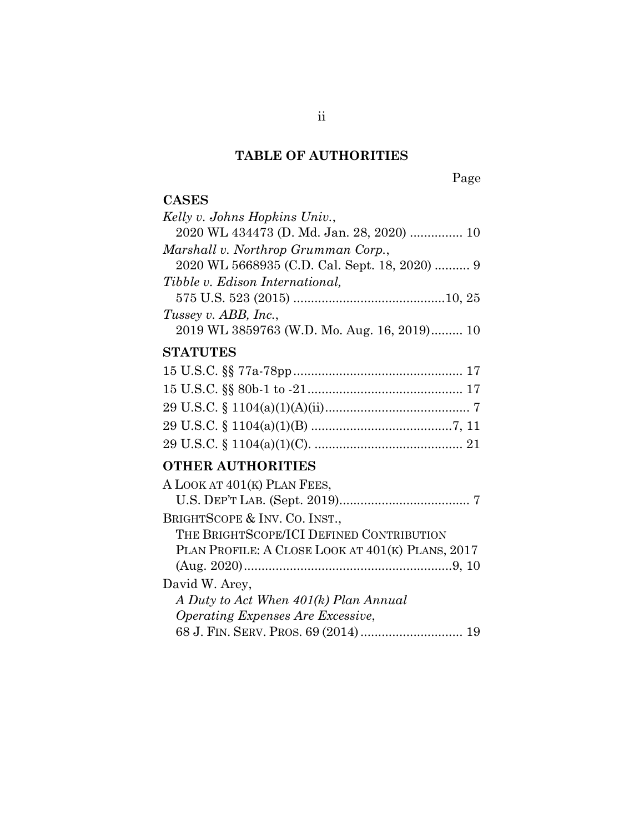# **TABLE OF AUTHORITIES**

## Page

# **CASES**

| Kelly v. Johns Hopkins Univ.,                 |
|-----------------------------------------------|
| 2020 WL 434473 (D. Md. Jan. 28, 2020)  10     |
| Marshall v. Northrop Grumman Corp.,           |
| 2020 WL 5668935 (C.D. Cal. Sept. 18, 2020)  9 |
| Tibble v. Edison International,               |
|                                               |
| Tussey v. ABB, Inc.,                          |
| 2019 WL 3859763 (W.D. Mo. Aug. 16, 2019) 10   |

## **STATUTES**

# **OTHER AUTHORITIES**

| A LOOK AT 401(K) PLAN FEES,                      |  |
|--------------------------------------------------|--|
|                                                  |  |
| BRIGHTSCOPE & INV. CO. INST.,                    |  |
| THE BRIGHTSCOPE/ICI DEFINED CONTRIBUTION         |  |
| PLAN PROFILE: A CLOSE LOOK AT 401(K) PLANS, 2017 |  |
|                                                  |  |
| David W. Arey,                                   |  |
| A Duty to Act When 401(k) Plan Annual            |  |
| <i>Operating Expenses Are Excessive,</i>         |  |
|                                                  |  |
|                                                  |  |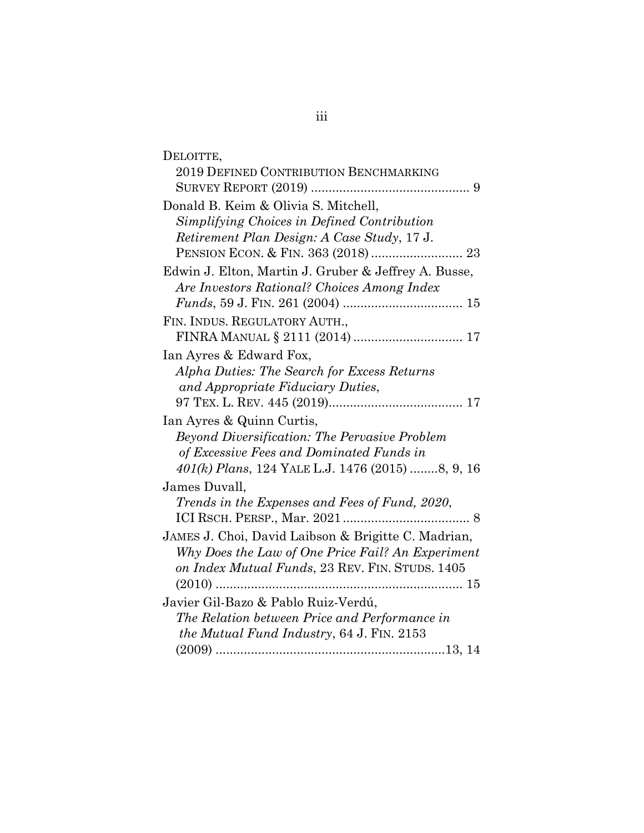| DELOITTE,                                                              |
|------------------------------------------------------------------------|
| 2019 DEFINED CONTRIBUTION BENCHMARKING                                 |
|                                                                        |
| Donald B. Keim & Olivia S. Mitchell,                                   |
| Simplifying Choices in Defined Contribution                            |
| Retirement Plan Design: A Case Study, 17 J.                            |
|                                                                        |
| Edwin J. Elton, Martin J. Gruber & Jeffrey A. Busse,                   |
| Are Investors Rational? Choices Among Index                            |
|                                                                        |
| FIN. INDUS. REGULATORY AUTH.,                                          |
|                                                                        |
| Ian Ayres & Edward Fox,<br>Alpha Duties: The Search for Excess Returns |
| and Appropriate Fiduciary Duties,                                      |
|                                                                        |
| Ian Ayres & Quinn Curtis,                                              |
| Beyond Diversification: The Pervasive Problem                          |
| of Excessive Fees and Dominated Funds in                               |
| $401(k)$ Plans, 124 YALE L.J. 1476 (2015) 8, 9, 16                     |
| James Duvall,                                                          |
| Trends in the Expenses and Fees of Fund, 2020,                         |
| 8                                                                      |
| JAMES J. Choi, David Laibson & Brigitte C. Madrian,                    |
| Why Does the Law of One Price Fail? An Experiment                      |
| on Index Mutual Funds, 23 REV. FIN. STUDS. 1405                        |
|                                                                        |
| Javier Gil-Bazo & Pablo Ruiz-Verdú,                                    |
| The Relation between Price and Performance in                          |
| <i>the Mutual Fund Industry, 64 J. FIN. 2153</i>                       |
|                                                                        |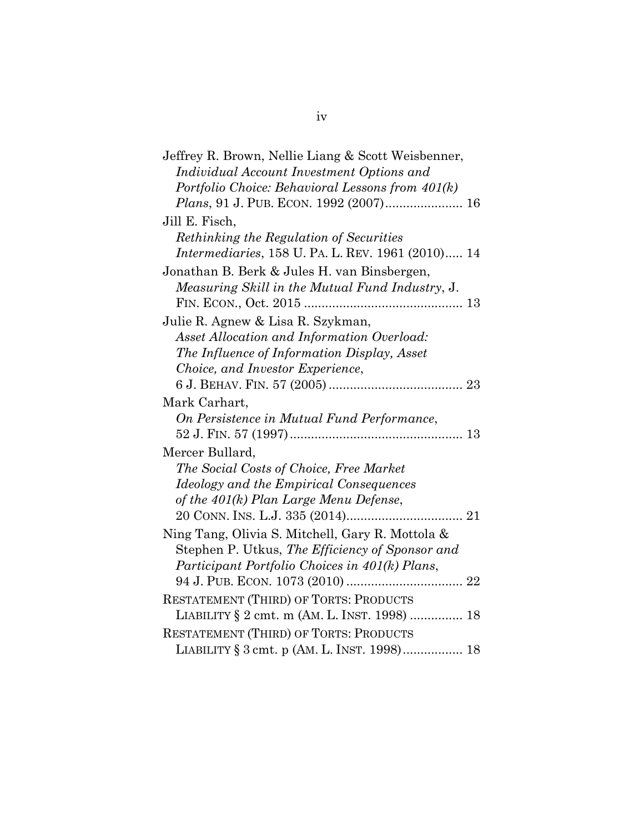| Jeffrey R. Brown, Nellie Liang & Scott Weisbenner,        |
|-----------------------------------------------------------|
| Individual Account Investment Options and                 |
| Portfolio Choice: Behavioral Lessons from 401(k)          |
|                                                           |
| Jill E. Fisch,                                            |
| Rethinking the Regulation of Securities                   |
| <i>Intermediaries</i> , 158 U. PA. L. REV. 1961 (2010) 14 |
| Jonathan B. Berk & Jules H. van Binsbergen,               |
| Measuring Skill in the Mutual Fund Industry, J.           |
|                                                           |
| Julie R. Agnew & Lisa R. Szykman,                         |
| Asset Allocation and Information Overload:                |
| The Influence of Information Display, Asset               |
| Choice, and Investor Experience,                          |
|                                                           |
| Mark Carhart,                                             |
| On Persistence in Mutual Fund Performance,                |
|                                                           |
| Mercer Bullard,                                           |
| The Social Costs of Choice, Free Market                   |
| Ideology and the Empirical Consequences                   |
| of the 401(k) Plan Large Menu Defense,                    |
|                                                           |
| Ning Tang, Olivia S. Mitchell, Gary R. Mottola &          |
| Stephen P. Utkus, The Efficiency of Sponsor and           |
| Participant Portfolio Choices in 401(k) Plans,            |
|                                                           |
| RESTATEMENT (THIRD) OF TORTS: PRODUCTS                    |
| LIABILITY § 2 cmt. m (AM. L. INST. 1998)  18              |
| RESTATEMENT (THIRD) OF TORTS: PRODUCTS                    |
| LIABILITY § 3 cmt. p (AM. L. INST. 1998) 18               |

iv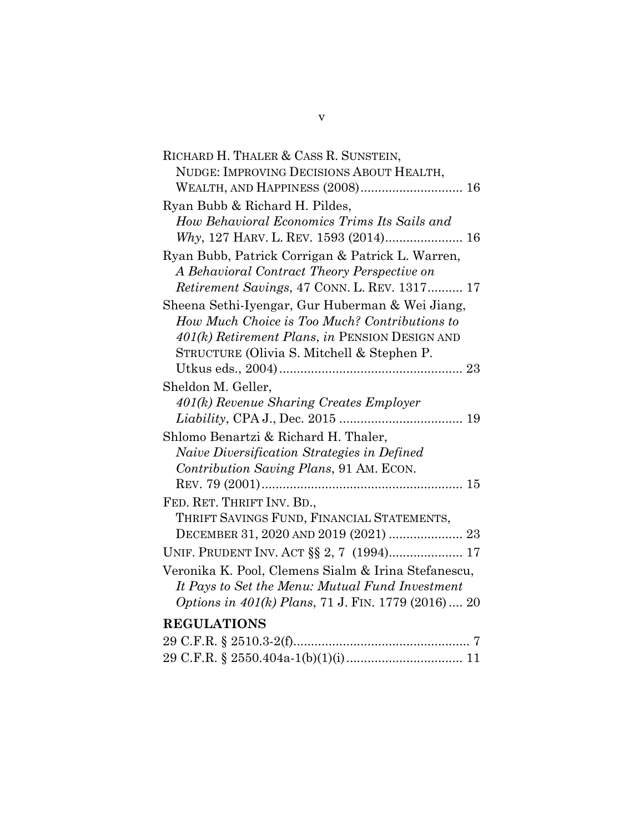| RICHARD H. THALER & CASS R. SUNSTEIN,               |
|-----------------------------------------------------|
| NUDGE: IMPROVING DECISIONS ABOUT HEALTH,            |
| WEALTH, AND HAPPINESS (2008) 16                     |
| Ryan Bubb & Richard H. Pildes,                      |
| How Behavioral Economics Trims Its Sails and        |
|                                                     |
| Ryan Bubb, Patrick Corrigan & Patrick L. Warren,    |
| A Behavioral Contract Theory Perspective on         |
| <i>Retirement Savings, 47 CONN. L. REV. 1317 17</i> |
| Sheena Sethi-Iyengar, Gur Huberman & Wei Jiang,     |
| How Much Choice is Too Much? Contributions to       |
| 401(k) Retirement Plans, in PENSION DESIGN AND      |
| STRUCTURE (Olivia S. Mitchell & Stephen P.          |
|                                                     |
| Sheldon M. Geller,                                  |
| 401(k) Revenue Sharing Creates Employer             |
|                                                     |
| Shlomo Benartzi & Richard H. Thaler,                |
| Naive Diversification Strategies in Defined         |
| Contribution Saving Plans, 91 AM. ECON.             |
|                                                     |
| FED. RET. THRIFT INV. BD.,                          |
| THRIFT SAVINGS FUND, FINANCIAL STATEMENTS,          |
| DECEMBER 31, 2020 AND 2019 (2021)  23               |
| UNIF. PRUDENT INV. ACT §§ 2, 7 (1994) 17            |
| Veronika K. Pool, Clemens Sialm & Irina Stefanescu, |
| It Pays to Set the Menu: Mutual Fund Investment     |
| Options in 401(k) Plans, 71 J. FIN. 1779 (2016)  20 |
| <b>REGULATIONS</b>                                  |
|                                                     |
|                                                     |

v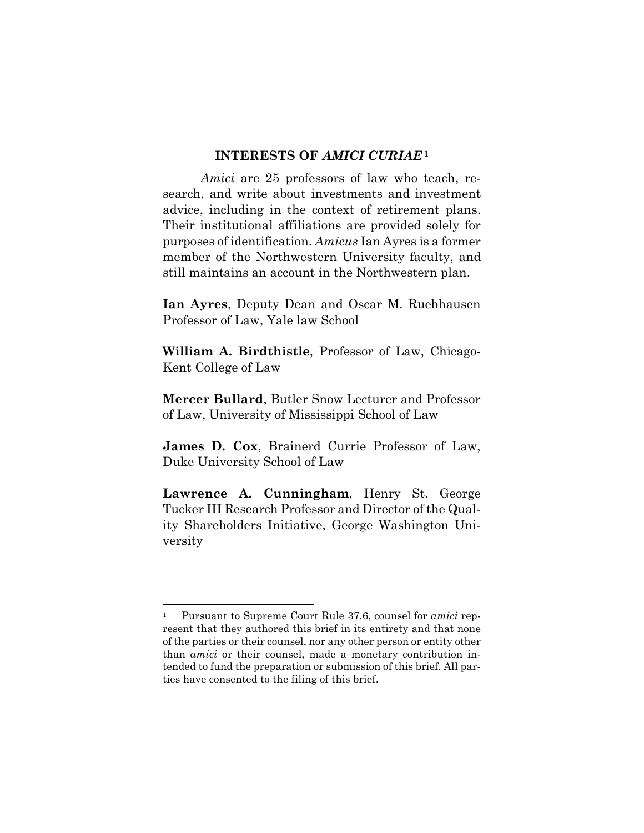### **INTERESTS OF** *AMICI CURIAE***<sup>1</sup>**

*Amici* are 25 professors of law who teach, research, and write about investments and investment advice, including in the context of retirement plans. Their institutional affiliations are provided solely for purposes of identification. *Amicus* Ian Ayres is a former member of the Northwestern University faculty, and still maintains an account in the Northwestern plan.

**Ian Ayres**, Deputy Dean and Oscar M. Ruebhausen Professor of Law, Yale law School

**William A. Birdthistle**, Professor of Law, Chicago-Kent College of Law

**Mercer Bullard**, Butler Snow Lecturer and Professor of Law, University of Mississippi School of Law

**James D. Cox**, Brainerd Currie Professor of Law, Duke University School of Law

**Lawrence A. Cunningham**, Henry St. George Tucker III Research Professor and Director of the Quality Shareholders Initiative, George Washington University

<sup>1</sup> Pursuant to Supreme Court Rule 37.6, counsel for *amici* represent that they authored this brief in its entirety and that none of the parties or their counsel, nor any other person or entity other than *amici* or their counsel, made a monetary contribution intended to fund the preparation or submission of this brief. All parties have consented to the filing of this brief.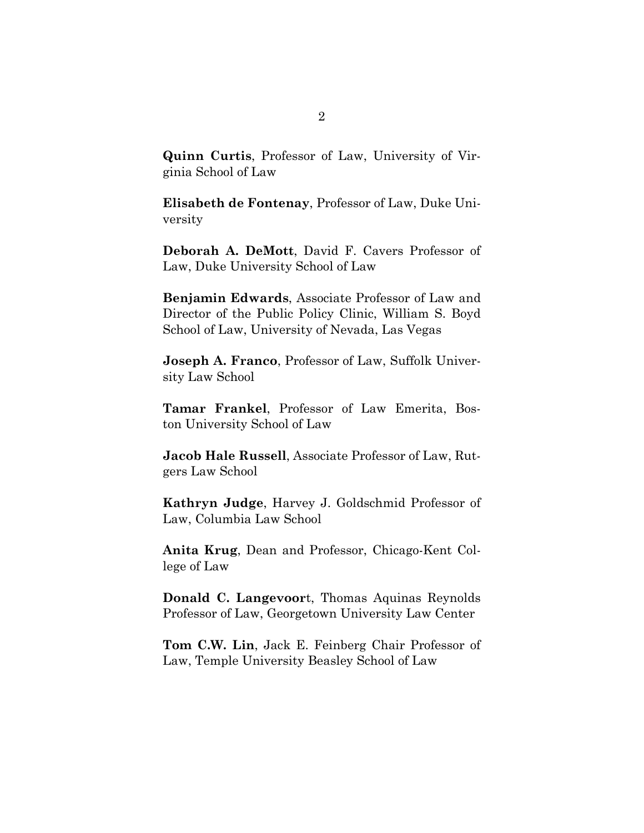**Quinn Curtis**, Professor of Law, University of Virginia School of Law

**Elisabeth de Fontenay**, Professor of Law, Duke University

**Deborah A. DeMott**, David F. Cavers Professor of Law, Duke University School of Law

**Benjamin Edwards**, Associate Professor of Law and Director of the Public Policy Clinic, William S. Boyd School of Law, University of Nevada, Las Vegas

**Joseph A. Franco**, Professor of Law, Suffolk University Law School

**Tamar Frankel**, Professor of Law Emerita, Boston University School of Law

**Jacob Hale Russell**, Associate Professor of Law, Rutgers Law School

**Kathryn Judge**, Harvey J. Goldschmid Professor of Law, Columbia Law School

**Anita Krug**, Dean and Professor, Chicago-Kent College of Law

**Donald C. Langevoor**t, Thomas Aquinas Reynolds Professor of Law, Georgetown University Law Center

**Tom C.W. Lin**, Jack E. Feinberg Chair Professor of Law, Temple University Beasley School of Law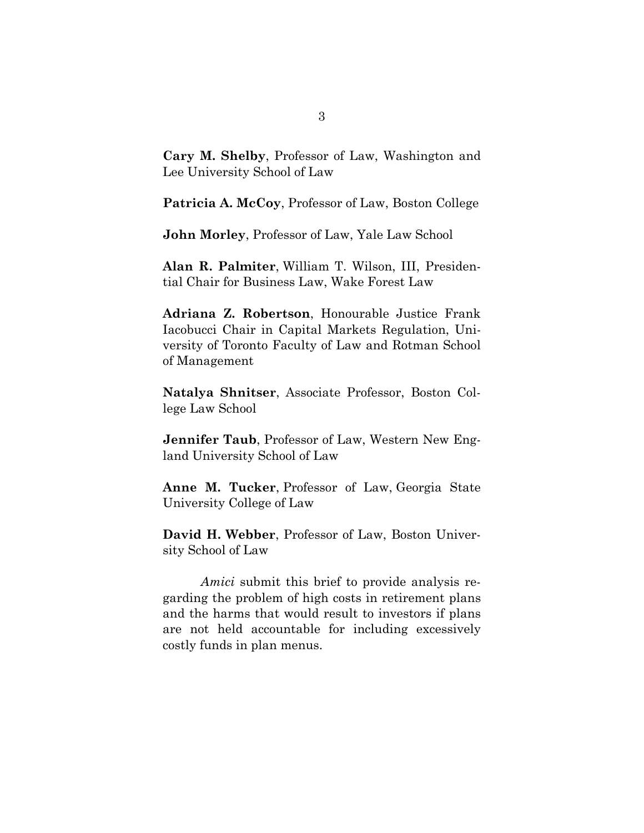**Cary M. Shelby**, Professor of Law, Washington and Lee University School of Law

**Patricia A. McCoy**, Professor of Law, Boston College

**John Morley**, Professor of Law, Yale Law School

**Alan R. Palmiter**, William T. Wilson, III, Presidential Chair for Business Law, Wake Forest Law

**Adriana Z. Robertson**, Honourable Justice Frank Iacobucci Chair in Capital Markets Regulation, University of Toronto Faculty of Law and Rotman School of Management

**Natalya Shnitser**, Associate Professor, Boston College Law School

**Jennifer Taub**, Professor of Law, Western New England University School of Law

**Anne M. Tucker**, Professor of Law, Georgia State University College of Law

**David H. Webber**, Professor of Law, Boston University School of Law

*Amici* submit this brief to provide analysis regarding the problem of high costs in retirement plans and the harms that would result to investors if plans are not held accountable for including excessively costly funds in plan menus.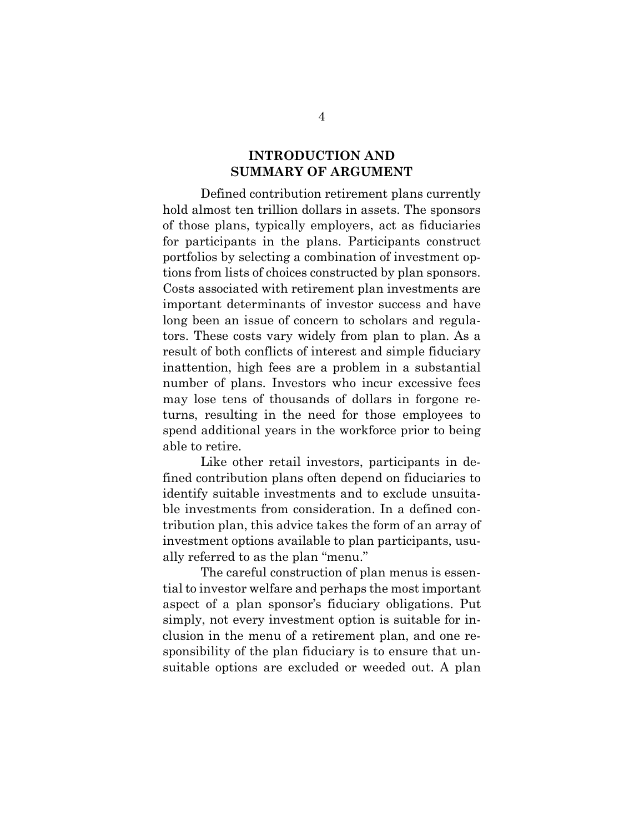## **INTRODUCTION AND SUMMARY OF ARGUMENT**

Defined contribution retirement plans currently hold almost ten trillion dollars in assets. The sponsors of those plans, typically employers, act as fiduciaries for participants in the plans. Participants construct portfolios by selecting a combination of investment options from lists of choices constructed by plan sponsors. Costs associated with retirement plan investments are important determinants of investor success and have long been an issue of concern to scholars and regulators. These costs vary widely from plan to plan. As a result of both conflicts of interest and simple fiduciary inattention, high fees are a problem in a substantial number of plans. Investors who incur excessive fees may lose tens of thousands of dollars in forgone returns, resulting in the need for those employees to spend additional years in the workforce prior to being able to retire.

Like other retail investors, participants in defined contribution plans often depend on fiduciaries to identify suitable investments and to exclude unsuitable investments from consideration. In a defined contribution plan, this advice takes the form of an array of investment options available to plan participants, usually referred to as the plan "menu."

The careful construction of plan menus is essential to investor welfare and perhaps the most important aspect of a plan sponsor's fiduciary obligations. Put simply, not every investment option is suitable for inclusion in the menu of a retirement plan, and one responsibility of the plan fiduciary is to ensure that unsuitable options are excluded or weeded out. A plan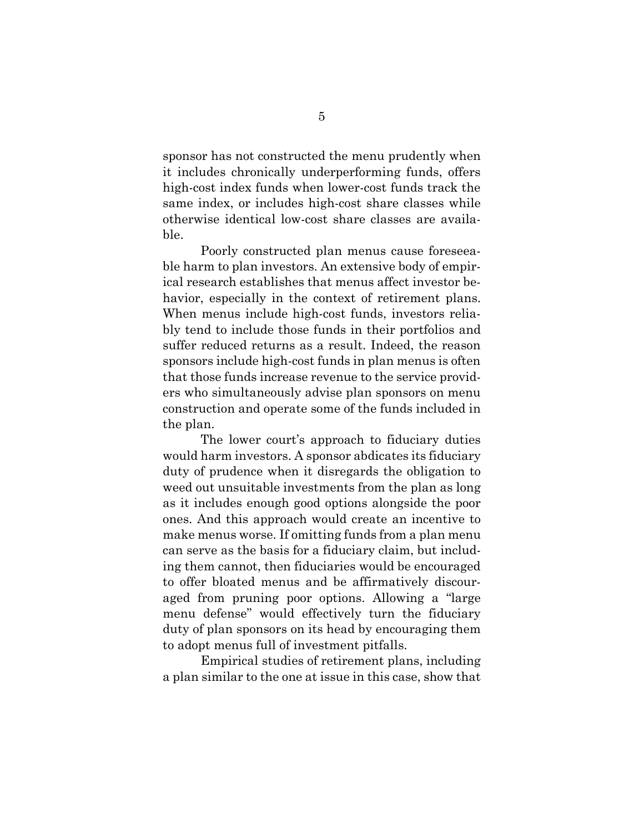sponsor has not constructed the menu prudently when it includes chronically underperforming funds, offers high-cost index funds when lower-cost funds track the same index, or includes high-cost share classes while otherwise identical low-cost share classes are available.

Poorly constructed plan menus cause foreseeable harm to plan investors. An extensive body of empirical research establishes that menus affect investor behavior, especially in the context of retirement plans. When menus include high-cost funds, investors reliably tend to include those funds in their portfolios and suffer reduced returns as a result. Indeed, the reason sponsors include high-cost funds in plan menus is often that those funds increase revenue to the service providers who simultaneously advise plan sponsors on menu construction and operate some of the funds included in the plan.

The lower court's approach to fiduciary duties would harm investors. A sponsor abdicates its fiduciary duty of prudence when it disregards the obligation to weed out unsuitable investments from the plan as long as it includes enough good options alongside the poor ones. And this approach would create an incentive to make menus worse. If omitting funds from a plan menu can serve as the basis for a fiduciary claim, but including them cannot, then fiduciaries would be encouraged to offer bloated menus and be affirmatively discouraged from pruning poor options. Allowing a "large menu defense" would effectively turn the fiduciary duty of plan sponsors on its head by encouraging them to adopt menus full of investment pitfalls.

Empirical studies of retirement plans, including a plan similar to the one at issue in this case, show that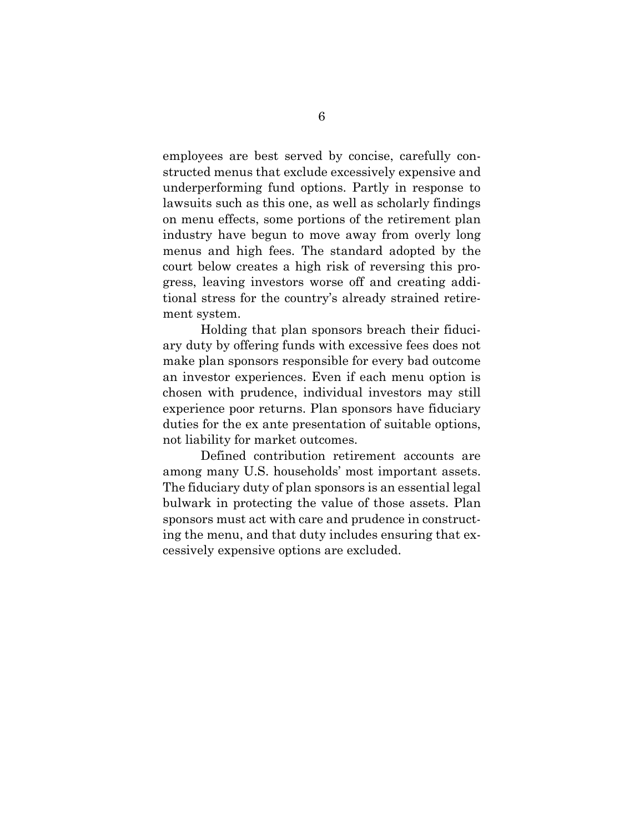employees are best served by concise, carefully constructed menus that exclude excessively expensive and underperforming fund options. Partly in response to lawsuits such as this one, as well as scholarly findings on menu effects, some portions of the retirement plan industry have begun to move away from overly long menus and high fees. The standard adopted by the court below creates a high risk of reversing this progress, leaving investors worse off and creating additional stress for the country's already strained retirement system.

Holding that plan sponsors breach their fiduciary duty by offering funds with excessive fees does not make plan sponsors responsible for every bad outcome an investor experiences. Even if each menu option is chosen with prudence, individual investors may still experience poor returns. Plan sponsors have fiduciary duties for the ex ante presentation of suitable options, not liability for market outcomes.

Defined contribution retirement accounts are among many U.S. households' most important assets. The fiduciary duty of plan sponsors is an essential legal bulwark in protecting the value of those assets. Plan sponsors must act with care and prudence in constructing the menu, and that duty includes ensuring that excessively expensive options are excluded.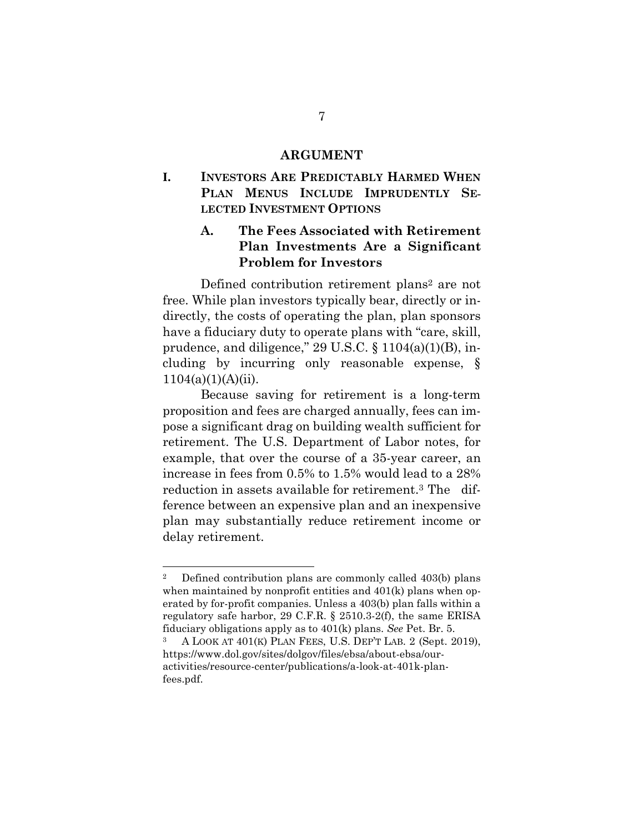#### **ARGUMENT**

**I. INVESTORS ARE PREDICTABLY HARMED WHEN PLAN MENUS INCLUDE IMPRUDENTLY SE-LECTED INVESTMENT OPTIONS** 

## **A. The Fees Associated with Retirement Plan Investments Are a Significant Problem for Investors**

Defined contribution retirement plans<sup>2</sup> are not free. While plan investors typically bear, directly or indirectly, the costs of operating the plan, plan sponsors have a fiduciary duty to operate plans with "care, skill, prudence, and diligence,"  $29 \text{ U.S.C.}$  §  $1104(a)(1)(B)$ , including by incurring only reasonable expense, § 1104(a)(1)(A)(ii).

Because saving for retirement is a long-term proposition and fees are charged annually, fees can impose a significant drag on building wealth sufficient for retirement. The U.S. Department of Labor notes, for example, that over the course of a 35-year career, an increase in fees from 0.5% to 1.5% would lead to a 28% reduction in assets available for retirement.3 The difference between an expensive plan and an inexpensive plan may substantially reduce retirement income or delay retirement.

<sup>&</sup>lt;sup>2</sup> Defined contribution plans are commonly called 403(b) plans when maintained by nonprofit entities and 401(k) plans when operated by for-profit companies. Unless a 403(b) plan falls within a regulatory safe harbor, 29 C.F.R. § 2510.3-2(f), the same ERISA fiduciary obligations apply as to 401(k) plans. *See* Pet. Br. 5.

<sup>3</sup> A LOOK AT 401(K) PLAN FEES, U.S. DEP'T LAB. 2 (Sept. 2019), https://www.dol.gov/sites/dolgov/files/ebsa/about-ebsa/ouractivities/resource-center/publications/a-look-at-401k-planfees.pdf.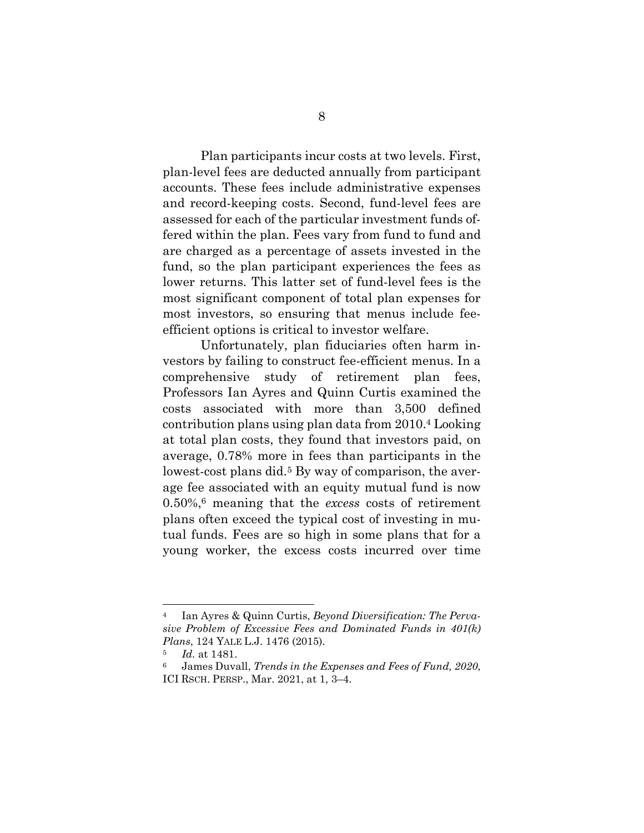Plan participants incur costs at two levels. First, plan-level fees are deducted annually from participant accounts. These fees include administrative expenses and record-keeping costs. Second, fund-level fees are assessed for each of the particular investment funds offered within the plan. Fees vary from fund to fund and are charged as a percentage of assets invested in the fund, so the plan participant experiences the fees as lower returns. This latter set of fund-level fees is the most significant component of total plan expenses for most investors, so ensuring that menus include feeefficient options is critical to investor welfare.

Unfortunately, plan fiduciaries often harm investors by failing to construct fee-efficient menus. In a comprehensive study of retirement plan fees, Professors Ian Ayres and Quinn Curtis examined the costs associated with more than 3,500 defined contribution plans using plan data from 2010.4 Looking at total plan costs, they found that investors paid, on average, 0.78% more in fees than participants in the lowest-cost plans did.5 By way of comparison, the average fee associated with an equity mutual fund is now 0.50%,6 meaning that the *excess* costs of retirement plans often exceed the typical cost of investing in mutual funds. Fees are so high in some plans that for a young worker, the excess costs incurred over time

<sup>4</sup> Ian Ayres & Quinn Curtis, *Beyond Diversification: The Pervasive Problem of Excessive Fees and Dominated Funds in 401(k) Plans*, 124 YALE L.J. 1476 (2015).

<sup>5</sup> *Id.* at 1481.

<sup>6</sup> James Duvall, *Trends in the Expenses and Fees of Fund, 2020*, ICI RSCH. PERSP., Mar. 2021, at 1, 3–4.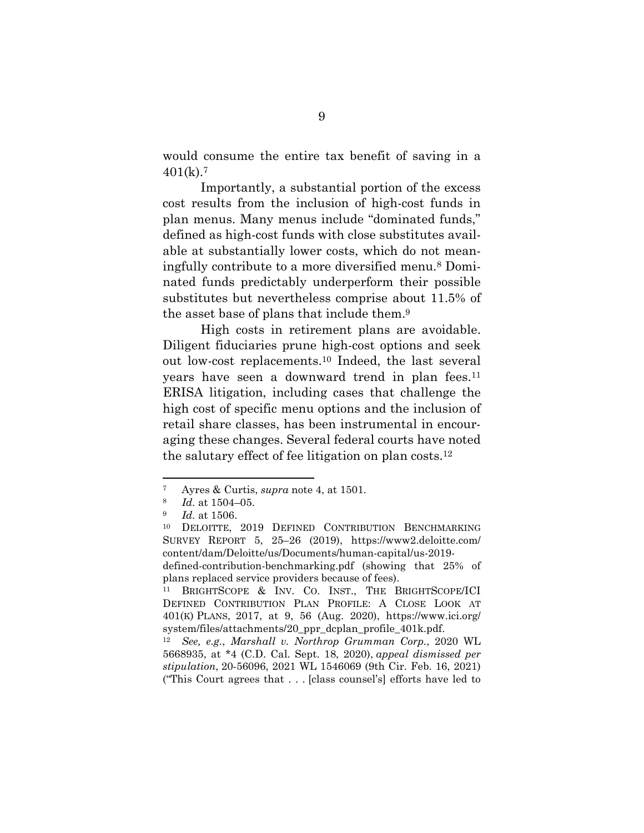would consume the entire tax benefit of saving in a  $401(k).7$ 

Importantly, a substantial portion of the excess cost results from the inclusion of high-cost funds in plan menus. Many menus include "dominated funds," defined as high-cost funds with close substitutes available at substantially lower costs, which do not meaningfully contribute to a more diversified menu.8 Dominated funds predictably underperform their possible substitutes but nevertheless comprise about 11.5% of the asset base of plans that include them.<sup>9</sup>

High costs in retirement plans are avoidable. Diligent fiduciaries prune high-cost options and seek out low-cost replacements.10 Indeed, the last several years have seen a downward trend in plan fees.<sup>11</sup> ERISA litigation, including cases that challenge the high cost of specific menu options and the inclusion of retail share classes, has been instrumental in encouraging these changes. Several federal courts have noted the salutary effect of fee litigation on plan costs.<sup>12</sup>

<sup>7</sup> Ayres & Curtis, *supra* note 4, at 1501.

<sup>8</sup> *Id.* at 1504–05.

<sup>9</sup> *Id.* at 1506.

<sup>10</sup> DELOITTE, 2019 DEFINED CONTRIBUTION BENCHMARKING SURVEY REPORT 5, 25–26 (2019), https://www2.deloitte.com/ content/dam/Deloitte/us/Documents/human-capital/us-2019-

defined-contribution-benchmarking.pdf (showing that 25% of plans replaced service providers because of fees).

<sup>11</sup> BRIGHTSCOPE & INV. CO. INST., THE BRIGHTSCOPE/ICI DEFINED CONTRIBUTION PLAN PROFILE: A CLOSE LOOK AT 401(K) PLANS, 2017, at 9, 56 (Aug. 2020), https://www.ici.org/ system/files/attachments/20\_ppr\_dcplan\_profile\_401k.pdf.

<sup>12</sup> *See, e.g.*, *Marshall v. Northrop Grumman Corp.*, 2020 WL 5668935, at \*4 (C.D. Cal. Sept. 18, 2020), *appeal dismissed per stipulation*, 20-56096, 2021 WL 1546069 (9th Cir. Feb. 16, 2021) ("This Court agrees that . . . [class counsel's] efforts have led to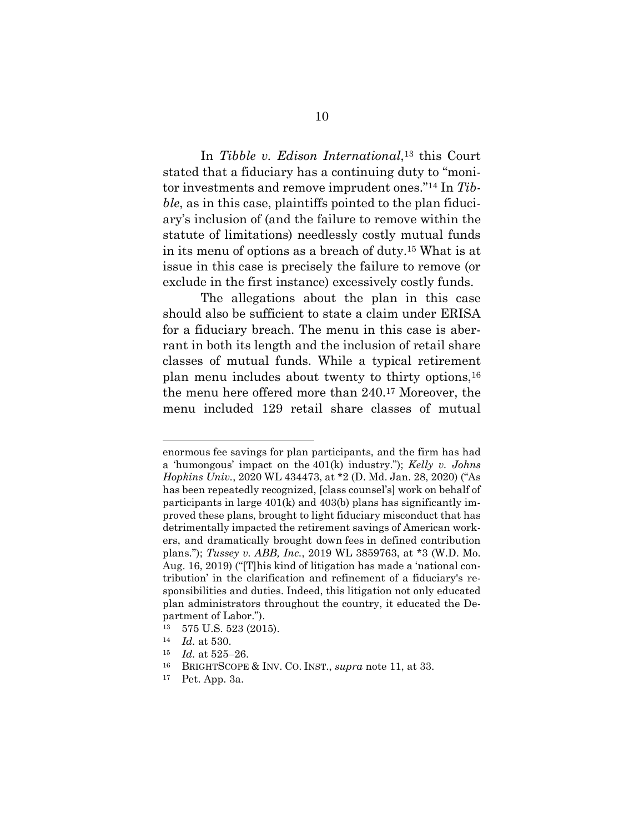In *Tibble v. Edison International*, <sup>13</sup> this Court stated that a fiduciary has a continuing duty to "monitor investments and remove imprudent ones."14 In *Tibble*, as in this case, plaintiffs pointed to the plan fiduciary's inclusion of (and the failure to remove within the statute of limitations) needlessly costly mutual funds in its menu of options as a breach of duty.15 What is at issue in this case is precisely the failure to remove (or exclude in the first instance) excessively costly funds.

The allegations about the plan in this case should also be sufficient to state a claim under ERISA for a fiduciary breach. The menu in this case is aberrant in both its length and the inclusion of retail share classes of mutual funds. While a typical retirement plan menu includes about twenty to thirty options,<sup>16</sup> the menu here offered more than 240.17 Moreover, the menu included 129 retail share classes of mutual

enormous fee savings for plan participants, and the firm has had a 'humongous' impact on the 401(k) industry."); *Kelly v. Johns Hopkins Univ.*, 2020 WL 434473, at \*2 (D. Md. Jan. 28, 2020) ("As has been repeatedly recognized, [class counsel's] work on behalf of participants in large 401(k) and 403(b) plans has significantly improved these plans, brought to light fiduciary misconduct that has detrimentally impacted the retirement savings of American workers, and dramatically brought down fees in defined contribution plans."); *Tussey v. ABB, Inc.*, 2019 WL 3859763, at \*3 (W.D. Mo. Aug. 16, 2019) ("[T]his kind of litigation has made a 'national contribution' in the clarification and refinement of a fiduciary's responsibilities and duties. Indeed, this litigation not only educated plan administrators throughout the country, it educated the Department of Labor.").

<sup>13</sup> 575 U.S. 523 (2015).

<sup>14</sup> *Id.* at 530.

<sup>15</sup> *Id.* at 525–26.

<sup>16</sup> BRIGHTSCOPE & INV. CO. INST., *supra* note 11, at 33.

<sup>17</sup> Pet. App. 3a.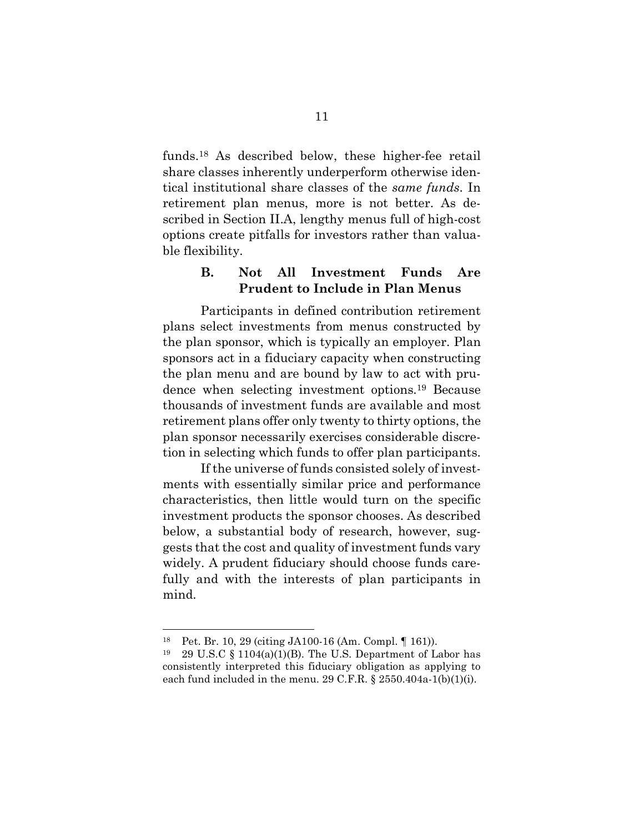funds.18 As described below, these higher-fee retail share classes inherently underperform otherwise identical institutional share classes of the *same funds*. In retirement plan menus, more is not better. As described in Section II.A, lengthy menus full of high-cost options create pitfalls for investors rather than valuable flexibility.

## **B. Not All Investment Funds Are Prudent to Include in Plan Menus**

Participants in defined contribution retirement plans select investments from menus constructed by the plan sponsor, which is typically an employer. Plan sponsors act in a fiduciary capacity when constructing the plan menu and are bound by law to act with prudence when selecting investment options.19 Because thousands of investment funds are available and most retirement plans offer only twenty to thirty options, the plan sponsor necessarily exercises considerable discretion in selecting which funds to offer plan participants.

If the universe of funds consisted solely of investments with essentially similar price and performance characteristics, then little would turn on the specific investment products the sponsor chooses. As described below, a substantial body of research, however, suggests that the cost and quality of investment funds vary widely. A prudent fiduciary should choose funds carefully and with the interests of plan participants in mind.

<sup>18</sup> Pet. Br. 10, 29 (citing JA100-16 (Am. Compl. ¶ 161)).

 $19$  29 U.S.C § 1104(a)(1)(B). The U.S. Department of Labor has consistently interpreted this fiduciary obligation as applying to each fund included in the menu. 29 C.F.R.  $\S 2550.404a-1(b)(1)(i)$ .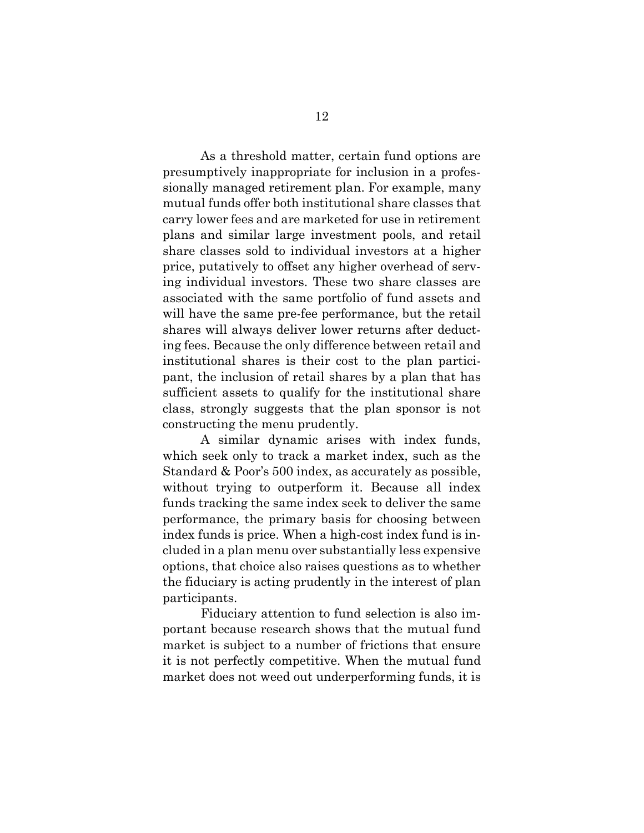As a threshold matter, certain fund options are presumptively inappropriate for inclusion in a professionally managed retirement plan. For example, many mutual funds offer both institutional share classes that carry lower fees and are marketed for use in retirement plans and similar large investment pools, and retail share classes sold to individual investors at a higher price, putatively to offset any higher overhead of serving individual investors. These two share classes are associated with the same portfolio of fund assets and will have the same pre-fee performance, but the retail shares will always deliver lower returns after deducting fees. Because the only difference between retail and institutional shares is their cost to the plan participant, the inclusion of retail shares by a plan that has sufficient assets to qualify for the institutional share class, strongly suggests that the plan sponsor is not constructing the menu prudently.

A similar dynamic arises with index funds, which seek only to track a market index, such as the Standard & Poor's 500 index, as accurately as possible, without trying to outperform it. Because all index funds tracking the same index seek to deliver the same performance, the primary basis for choosing between index funds is price. When a high-cost index fund is included in a plan menu over substantially less expensive options, that choice also raises questions as to whether the fiduciary is acting prudently in the interest of plan participants.

Fiduciary attention to fund selection is also important because research shows that the mutual fund market is subject to a number of frictions that ensure it is not perfectly competitive. When the mutual fund market does not weed out underperforming funds, it is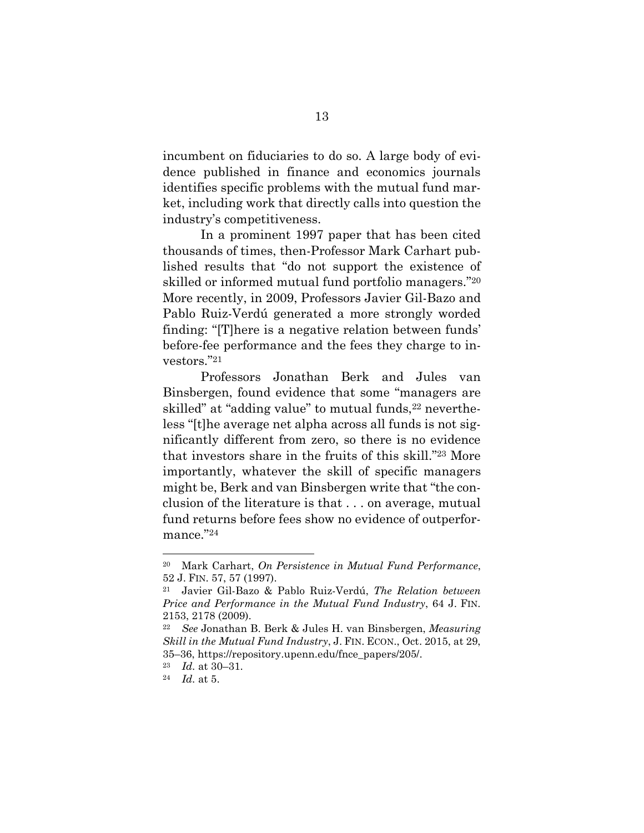incumbent on fiduciaries to do so. A large body of evidence published in finance and economics journals identifies specific problems with the mutual fund market, including work that directly calls into question the industry's competitiveness.

In a prominent 1997 paper that has been cited thousands of times, then-Professor Mark Carhart published results that "do not support the existence of skilled or informed mutual fund portfolio managers."<sup>20</sup> More recently, in 2009, Professors Javier Gil-Bazo and Pablo Ruiz-Verdú generated a more strongly worded finding: "[T]here is a negative relation between funds' before-fee performance and the fees they charge to investors."<sup>21</sup>

Professors Jonathan Berk and Jules van Binsbergen, found evidence that some "managers are skilled" at "adding value" to mutual funds,<sup>22</sup> nevertheless "[t]he average net alpha across all funds is not significantly different from zero, so there is no evidence that investors share in the fruits of this skill."23 More importantly, whatever the skill of specific managers might be, Berk and van Binsbergen write that "the conclusion of the literature is that . . . on average, mutual fund returns before fees show no evidence of outperformance."<sup>24</sup>

<sup>20</sup> Mark Carhart, *On Persistence in Mutual Fund Performance*, 52 J. FIN. 57, 57 (1997).

<sup>21</sup> Javier Gil-Bazo & Pablo Ruiz-Verdú, *The Relation between Price and Performance in the Mutual Fund Industry*, 64 J. FIN. 2153, 2178 (2009).

<sup>22</sup> *See* Jonathan B. Berk & Jules H. van Binsbergen, *Measuring Skill in the Mutual Fund Industry*, J. FIN. ECON., Oct. 2015, at 29, 35–36, https://repository.upenn.edu/fnce\_papers/205/.

<sup>23</sup> *Id.* at 30–31.

<sup>24</sup> *Id.* at 5.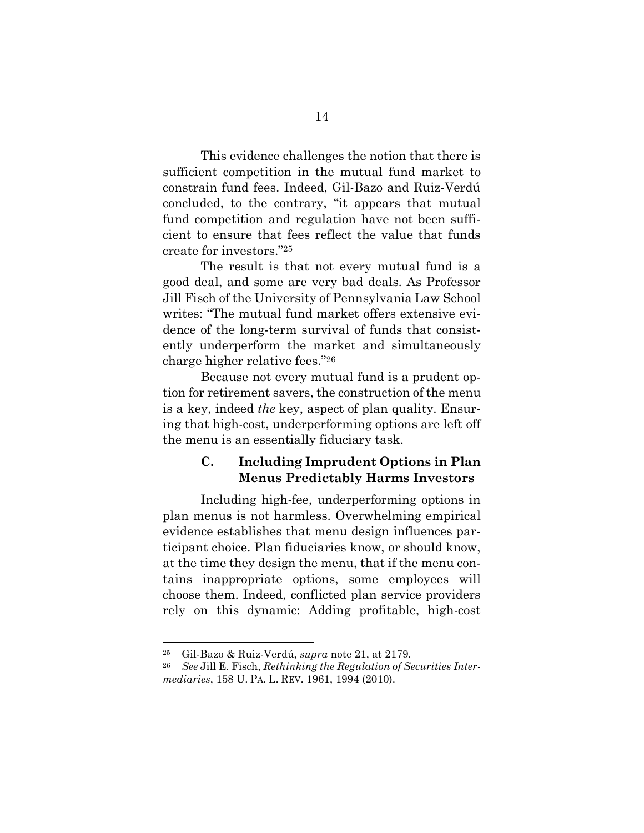This evidence challenges the notion that there is sufficient competition in the mutual fund market to constrain fund fees. Indeed, Gil-Bazo and Ruiz-Verdú concluded, to the contrary, "it appears that mutual fund competition and regulation have not been sufficient to ensure that fees reflect the value that funds create for investors."<sup>25</sup>

The result is that not every mutual fund is a good deal, and some are very bad deals. As Professor Jill Fisch of the University of Pennsylvania Law School writes: "The mutual fund market offers extensive evidence of the long-term survival of funds that consistently underperform the market and simultaneously charge higher relative fees."<sup>26</sup>

Because not every mutual fund is a prudent option for retirement savers, the construction of the menu is a key, indeed *the* key, aspect of plan quality. Ensuring that high-cost, underperforming options are left off the menu is an essentially fiduciary task.

## **C. Including Imprudent Options in Plan Menus Predictably Harms Investors**

Including high-fee, underperforming options in plan menus is not harmless. Overwhelming empirical evidence establishes that menu design influences participant choice. Plan fiduciaries know, or should know, at the time they design the menu, that if the menu contains inappropriate options, some employees will choose them. Indeed, conflicted plan service providers rely on this dynamic: Adding profitable, high-cost

<sup>25</sup> Gil-Bazo & Ruiz-Verdú, *supra* note 21, at 2179.

<sup>26</sup> *See* Jill E. Fisch, *Rethinking the Regulation of Securities Intermediaries*, 158 U. PA. L. REV. 1961, 1994 (2010).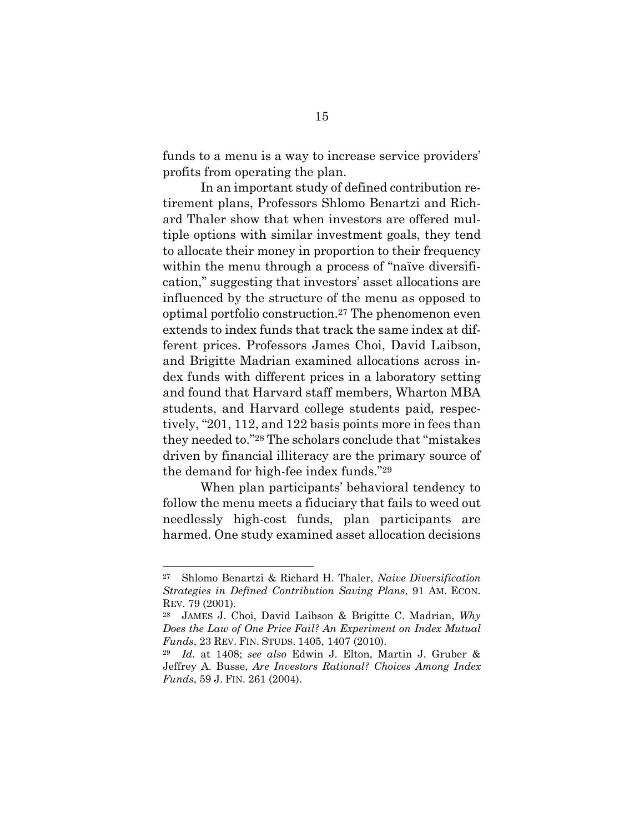funds to a menu is a way to increase service providers' profits from operating the plan.

In an important study of defined contribution retirement plans, Professors Shlomo Benartzi and Richard Thaler show that when investors are offered multiple options with similar investment goals, they tend to allocate their money in proportion to their frequency within the menu through a process of "naïve diversification," suggesting that investors' asset allocations are influenced by the structure of the menu as opposed to optimal portfolio construction.27 The phenomenon even extends to index funds that track the same index at different prices. Professors James Choi, David Laibson, and Brigitte Madrian examined allocations across index funds with different prices in a laboratory setting and found that Harvard staff members, Wharton MBA students, and Harvard college students paid, respectively, "201, 112, and 122 basis points more in fees than they needed to."28 The scholars conclude that "mistakes driven by financial illiteracy are the primary source of the demand for high-fee index funds."<sup>29</sup>

When plan participants' behavioral tendency to follow the menu meets a fiduciary that fails to weed out needlessly high-cost funds, plan participants are harmed. One study examined asset allocation decisions

<sup>27</sup> Shlomo Benartzi & Richard H. Thaler, *Naive Diversification Strategies in Defined Contribution Saving Plans*, 91 AM. ECON. REV. 79 (2001).

<sup>28</sup> JAMES J. Choi, David Laibson & Brigitte C. Madrian, *Why Does the Law of One Price Fail? An Experiment on Index Mutual Funds*, 23 REV. FIN. STUDS. 1405, 1407 (2010).

<sup>29</sup> *Id.* at 1408; *see also* Edwin J. Elton, Martin J. Gruber & Jeffrey A. Busse, *Are Investors Rational? Choices Among Index Funds*, 59 J. FIN. 261 (2004).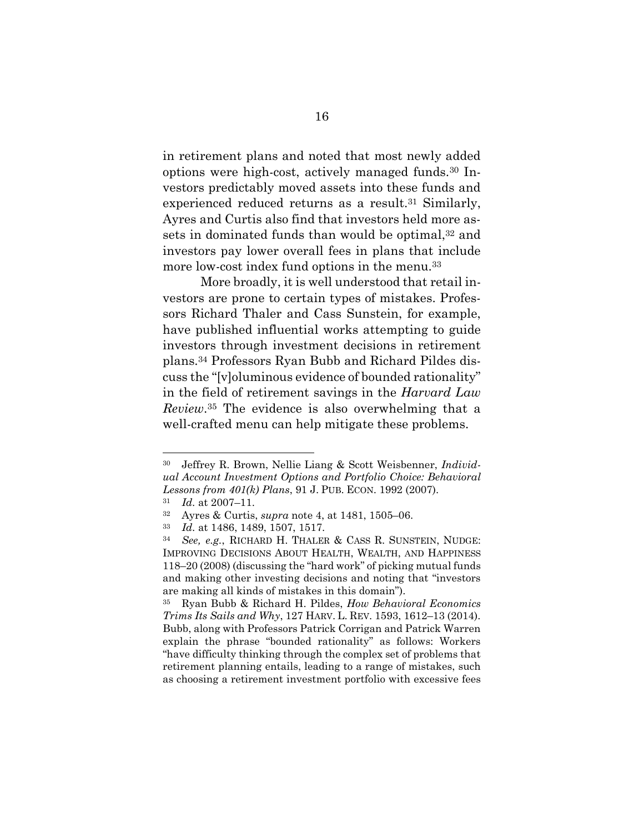in retirement plans and noted that most newly added options were high-cost, actively managed funds.30 Investors predictably moved assets into these funds and experienced reduced returns as a result.<sup>31</sup> Similarly, Ayres and Curtis also find that investors held more assets in dominated funds than would be optimal,<sup>32</sup> and investors pay lower overall fees in plans that include more low-cost index fund options in the menu.<sup>33</sup>

More broadly, it is well understood that retail investors are prone to certain types of mistakes. Professors Richard Thaler and Cass Sunstein, for example, have published influential works attempting to guide investors through investment decisions in retirement plans.34 Professors Ryan Bubb and Richard Pildes discuss the "[v]oluminous evidence of bounded rationality" in the field of retirement savings in the *Harvard Law Review*. <sup>35</sup> The evidence is also overwhelming that a well-crafted menu can help mitigate these problems.

<sup>30</sup> Jeffrey R. Brown, Nellie Liang & Scott Weisbenner, *Individual Account Investment Options and Portfolio Choice: Behavioral Lessons from 401(k) Plans*, 91 J. PUB. ECON. 1992 (2007).

<sup>31</sup> *Id.* at 2007–11.

<sup>32</sup> Ayres & Curtis, *supra* note 4, at 1481, 1505–06.

<sup>33</sup> *Id.* at 1486, 1489, 1507, 1517.

<sup>34</sup> *See, e.g.*, RICHARD H. THALER & CASS R. SUNSTEIN, NUDGE: IMPROVING DECISIONS ABOUT HEALTH, WEALTH, AND HAPPINESS 118–20 (2008) (discussing the "hard work" of picking mutual funds and making other investing decisions and noting that "investors are making all kinds of mistakes in this domain").

<sup>35</sup> Ryan Bubb & Richard H. Pildes, *How Behavioral Economics Trims Its Sails and Why*, 127 HARV. L. REV. 1593, 1612–13 (2014). Bubb, along with Professors Patrick Corrigan and Patrick Warren explain the phrase "bounded rationality" as follows: Workers "have difficulty thinking through the complex set of problems that retirement planning entails, leading to a range of mistakes, such as choosing a retirement investment portfolio with excessive fees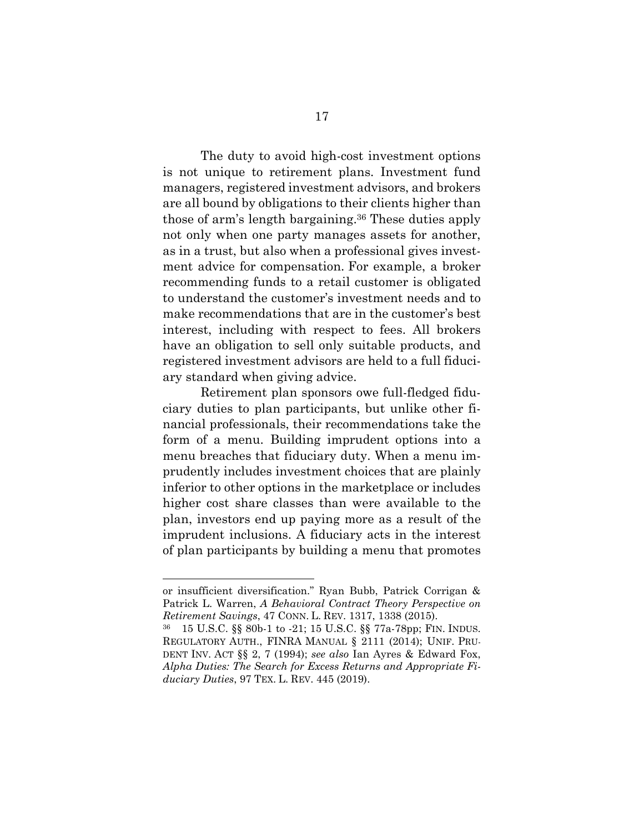The duty to avoid high-cost investment options is not unique to retirement plans. Investment fund managers, registered investment advisors, and brokers are all bound by obligations to their clients higher than those of arm's length bargaining.36 These duties apply not only when one party manages assets for another, as in a trust, but also when a professional gives investment advice for compensation. For example, a broker recommending funds to a retail customer is obligated to understand the customer's investment needs and to make recommendations that are in the customer's best interest, including with respect to fees. All brokers have an obligation to sell only suitable products, and registered investment advisors are held to a full fiduciary standard when giving advice.

Retirement plan sponsors owe full-fledged fiduciary duties to plan participants, but unlike other financial professionals, their recommendations take the form of a menu. Building imprudent options into a menu breaches that fiduciary duty. When a menu imprudently includes investment choices that are plainly inferior to other options in the marketplace or includes higher cost share classes than were available to the plan, investors end up paying more as a result of the imprudent inclusions. A fiduciary acts in the interest of plan participants by building a menu that promotes

or insufficient diversification." Ryan Bubb, Patrick Corrigan & Patrick L. Warren, *A Behavioral Contract Theory Perspective on Retirement Savings*, 47 CONN. L. REV. 1317, 1338 (2015).

<sup>36</sup> 15 U.S.C. §§ 80b-1 to -21; 15 U.S.C. §§ 77a-78pp; FIN. INDUS. REGULATORY AUTH., FINRA MANUAL § 2111 (2014); UNIF. PRU-DENT INV. ACT §§ 2, 7 (1994); *see also* Ian Ayres & Edward Fox, *Alpha Duties: The Search for Excess Returns and Appropriate Fiduciary Duties*, 97 TEX. L. REV. 445 (2019).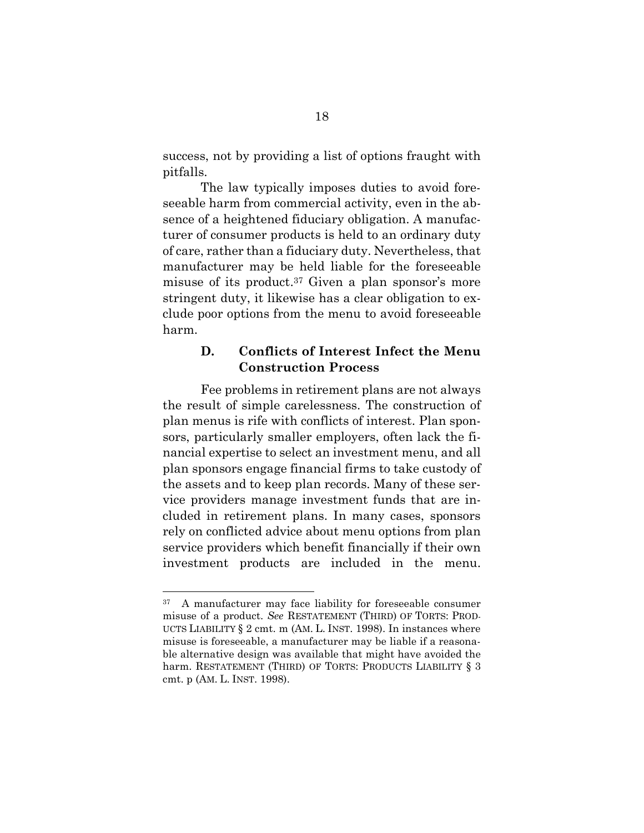success, not by providing a list of options fraught with pitfalls.

The law typically imposes duties to avoid foreseeable harm from commercial activity, even in the absence of a heightened fiduciary obligation. A manufacturer of consumer products is held to an ordinary duty of care, rather than a fiduciary duty. Nevertheless, that manufacturer may be held liable for the foreseeable misuse of its product.37 Given a plan sponsor's more stringent duty, it likewise has a clear obligation to exclude poor options from the menu to avoid foreseeable harm.

## **D. Conflicts of Interest Infect the Menu Construction Process**

Fee problems in retirement plans are not always the result of simple carelessness. The construction of plan menus is rife with conflicts of interest. Plan sponsors, particularly smaller employers, often lack the financial expertise to select an investment menu, and all plan sponsors engage financial firms to take custody of the assets and to keep plan records. Many of these service providers manage investment funds that are included in retirement plans. In many cases, sponsors rely on conflicted advice about menu options from plan service providers which benefit financially if their own investment products are included in the menu.

<sup>&</sup>lt;sup>37</sup> A manufacturer may face liability for foreseeable consumer misuse of a product. *See* RESTATEMENT (THIRD) OF TORTS: PROD-UCTS LIABILITY § 2 cmt. m (AM. L. INST. 1998). In instances where misuse is foreseeable, a manufacturer may be liable if a reasonable alternative design was available that might have avoided the harm. RESTATEMENT (THIRD) OF TORTS: PRODUCTS LIABILITY § 3 cmt. p (AM. L. INST. 1998).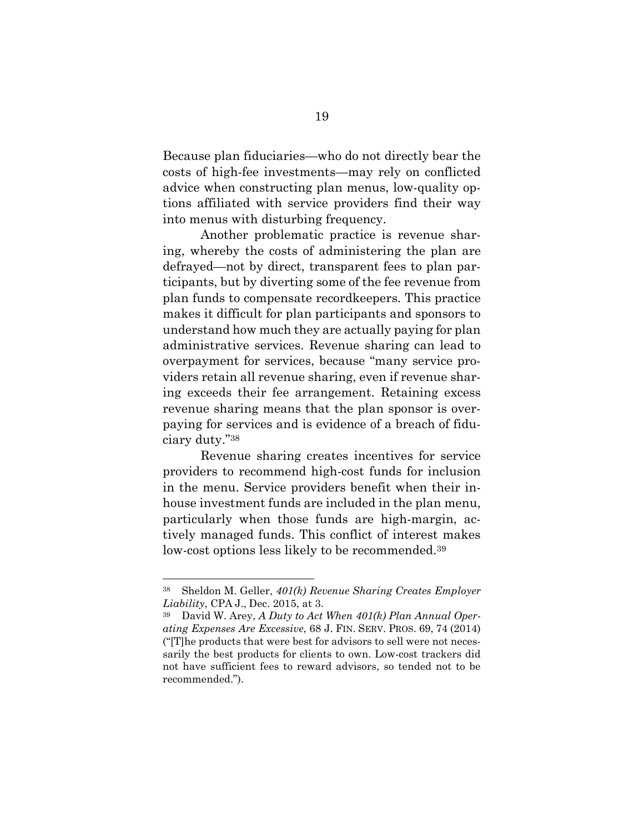Because plan fiduciaries—who do not directly bear the costs of high-fee investments—may rely on conflicted advice when constructing plan menus, low-quality options affiliated with service providers find their way into menus with disturbing frequency.

Another problematic practice is revenue sharing, whereby the costs of administering the plan are defrayed—not by direct, transparent fees to plan participants, but by diverting some of the fee revenue from plan funds to compensate recordkeepers. This practice makes it difficult for plan participants and sponsors to understand how much they are actually paying for plan administrative services. Revenue sharing can lead to overpayment for services, because "many service providers retain all revenue sharing, even if revenue sharing exceeds their fee arrangement. Retaining excess revenue sharing means that the plan sponsor is overpaying for services and is evidence of a breach of fiduciary duty."<sup>38</sup>

Revenue sharing creates incentives for service providers to recommend high-cost funds for inclusion in the menu. Service providers benefit when their inhouse investment funds are included in the plan menu, particularly when those funds are high-margin, actively managed funds. This conflict of interest makes low-cost options less likely to be recommended.<sup>39</sup>

<sup>38</sup> Sheldon M. Geller, *401(k) Revenue Sharing Creates Employer Liability*, CPA J., Dec. 2015, at 3.

David W. Arey, *A Duty to Act When 401(k) Plan Annual Operating Expenses Are Excessive*, 68 J. FIN. SERV. PROS. 69, 74 (2014) ("[T]he products that were best for advisors to sell were not necessarily the best products for clients to own. Low-cost trackers did not have sufficient fees to reward advisors, so tended not to be recommended.").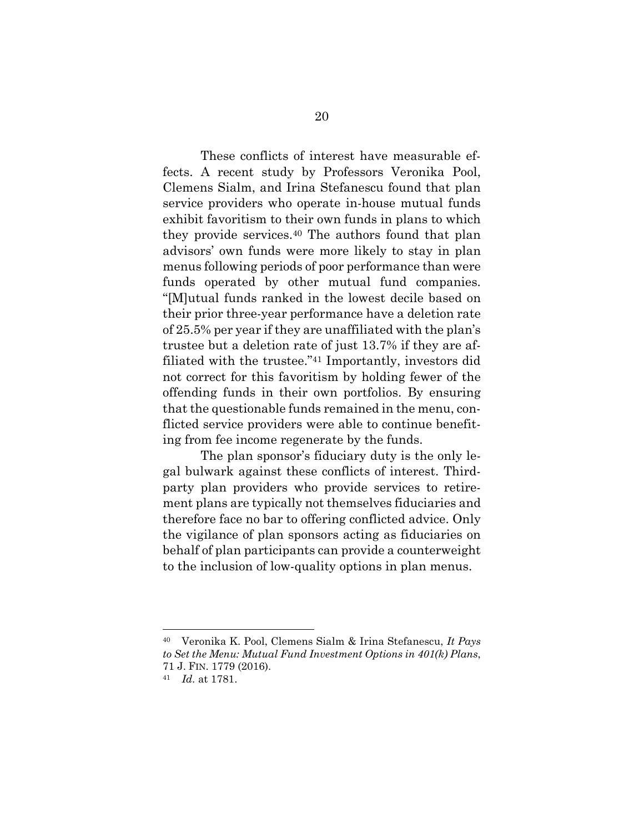These conflicts of interest have measurable effects. A recent study by Professors Veronika Pool, Clemens Sialm, and Irina Stefanescu found that plan service providers who operate in-house mutual funds exhibit favoritism to their own funds in plans to which they provide services.40 The authors found that plan advisors' own funds were more likely to stay in plan menus following periods of poor performance than were funds operated by other mutual fund companies. "[M]utual funds ranked in the lowest decile based on their prior three-year performance have a deletion rate of 25.5% per year if they are unaffiliated with the plan's trustee but a deletion rate of just 13.7% if they are affiliated with the trustee."<sup>41</sup> Importantly, investors did not correct for this favoritism by holding fewer of the offending funds in their own portfolios. By ensuring that the questionable funds remained in the menu, conflicted service providers were able to continue benefiting from fee income regenerate by the funds.

The plan sponsor's fiduciary duty is the only legal bulwark against these conflicts of interest. Thirdparty plan providers who provide services to retirement plans are typically not themselves fiduciaries and therefore face no bar to offering conflicted advice. Only the vigilance of plan sponsors acting as fiduciaries on behalf of plan participants can provide a counterweight to the inclusion of low-quality options in plan menus.

<sup>40</sup> Veronika K. Pool, Clemens Sialm & Irina Stefanescu, *It Pays to Set the Menu: Mutual Fund Investment Options in 401(k) Plans*, 71 J. FIN. 1779 (2016).

<sup>41</sup> *Id.* at 1781.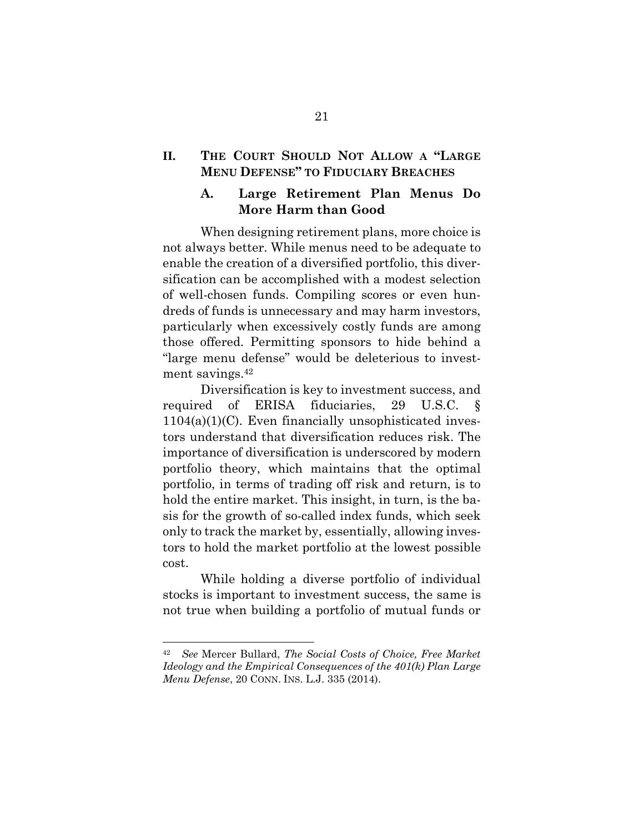## **II. THE COURT SHOULD NOT ALLOW A "LARGE MENU DEFENSE" TO FIDUCIARY BREACHES**

## **A. Large Retirement Plan Menus Do More Harm than Good**

When designing retirement plans, more choice is not always better. While menus need to be adequate to enable the creation of a diversified portfolio, this diversification can be accomplished with a modest selection of well-chosen funds. Compiling scores or even hundreds of funds is unnecessary and may harm investors, particularly when excessively costly funds are among those offered. Permitting sponsors to hide behind a "large menu defense" would be deleterious to investment savings.<sup>42</sup>

Diversification is key to investment success, and required of ERISA fiduciaries, 29 U.S.C. §  $1104(a)(1)(C)$ . Even financially unsophisticated investors understand that diversification reduces risk. The importance of diversification is underscored by modern portfolio theory, which maintains that the optimal portfolio, in terms of trading off risk and return, is to hold the entire market. This insight, in turn, is the basis for the growth of so-called index funds, which seek only to track the market by, essentially, allowing investors to hold the market portfolio at the lowest possible cost.

While holding a diverse portfolio of individual stocks is important to investment success, the same is not true when building a portfolio of mutual funds or

<sup>42</sup> *See* Mercer Bullard, *The Social Costs of Choice, Free Market Ideology and the Empirical Consequences of the 401(k) Plan Large Menu Defense*, 20 CONN. INS. L.J. 335 (2014).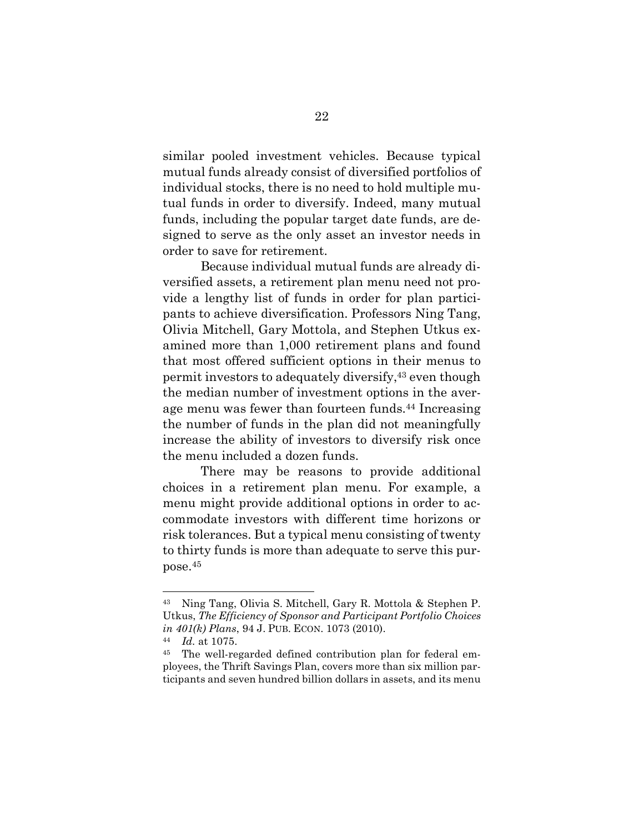similar pooled investment vehicles. Because typical mutual funds already consist of diversified portfolios of individual stocks, there is no need to hold multiple mutual funds in order to diversify. Indeed, many mutual funds, including the popular target date funds, are designed to serve as the only asset an investor needs in order to save for retirement.

Because individual mutual funds are already diversified assets, a retirement plan menu need not provide a lengthy list of funds in order for plan participants to achieve diversification. Professors Ning Tang, Olivia Mitchell, Gary Mottola, and Stephen Utkus examined more than 1,000 retirement plans and found that most offered sufficient options in their menus to permit investors to adequately diversify,43 even though the median number of investment options in the average menu was fewer than fourteen funds.44 Increasing the number of funds in the plan did not meaningfully increase the ability of investors to diversify risk once the menu included a dozen funds.

There may be reasons to provide additional choices in a retirement plan menu. For example, a menu might provide additional options in order to accommodate investors with different time horizons or risk tolerances. But a typical menu consisting of twenty to thirty funds is more than adequate to serve this purpose.<sup>45</sup>

<sup>43</sup> Ning Tang, Olivia S. Mitchell, Gary R. Mottola & Stephen P. Utkus, *The Efficiency of Sponsor and Participant Portfolio Choices in 401(k) Plans*, 94 J. PUB. ECON. 1073 (2010).

<sup>44</sup> *Id.* at 1075.

<sup>45</sup> The well-regarded defined contribution plan for federal employees, the Thrift Savings Plan, covers more than six million participants and seven hundred billion dollars in assets, and its menu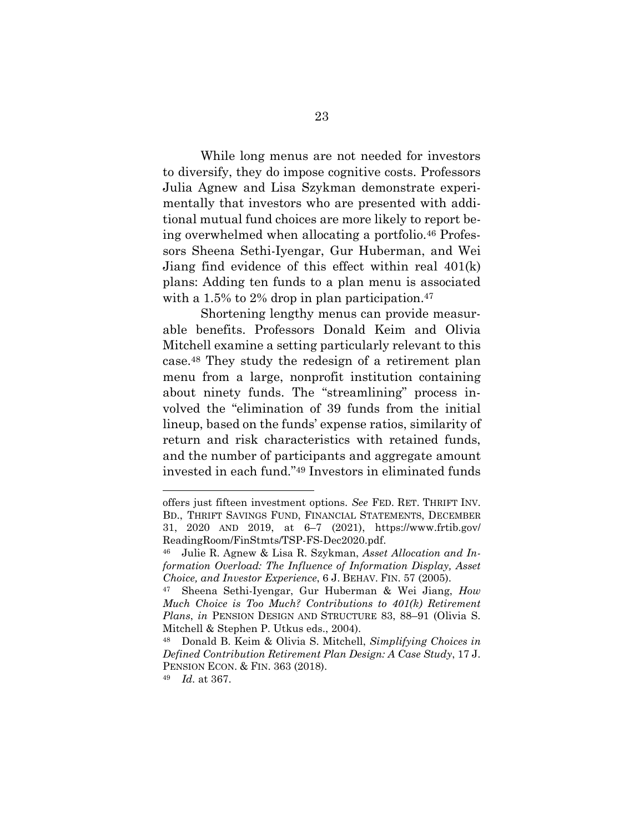While long menus are not needed for investors to diversify, they do impose cognitive costs. Professors Julia Agnew and Lisa Szykman demonstrate experimentally that investors who are presented with additional mutual fund choices are more likely to report being overwhelmed when allocating a portfolio.46 Professors Sheena Sethi-Iyengar, Gur Huberman, and Wei Jiang find evidence of this effect within real 401(k) plans: Adding ten funds to a plan menu is associated with a 1.5% to 2% drop in plan participation.<sup>47</sup>

Shortening lengthy menus can provide measurable benefits. Professors Donald Keim and Olivia Mitchell examine a setting particularly relevant to this case.48 They study the redesign of a retirement plan menu from a large, nonprofit institution containing about ninety funds. The "streamlining" process involved the "elimination of 39 funds from the initial lineup, based on the funds' expense ratios, similarity of return and risk characteristics with retained funds, and the number of participants and aggregate amount invested in each fund."49 Investors in eliminated funds

offers just fifteen investment options. *See* FED. RET. THRIFT INV. BD., THRIFT SAVINGS FUND, FINANCIAL STATEMENTS, DECEMBER 31, 2020 AND 2019, at 6–7 (2021), https://www.frtib.gov/ ReadingRoom/FinStmts/TSP-FS-Dec2020.pdf.

<sup>46</sup> Julie R. Agnew & Lisa R. Szykman, *Asset Allocation and Information Overload: The Influence of Information Display, Asset Choice, and Investor Experience*, 6 J. BEHAV. FIN. 57 (2005).

<sup>47</sup> Sheena Sethi-Iyengar, Gur Huberman & Wei Jiang, *How Much Choice is Too Much? Contributions to 401(k) Retirement Plans*, *in* PENSION DESIGN AND STRUCTURE 83, 88–91 (Olivia S. Mitchell & Stephen P. Utkus eds., 2004).

<sup>48</sup> Donald B. Keim & Olivia S. Mitchell, *Simplifying Choices in Defined Contribution Retirement Plan Design: A Case Study*, 17 J. PENSION ECON. & FIN. 363 (2018).

<sup>49</sup> *Id.* at 367.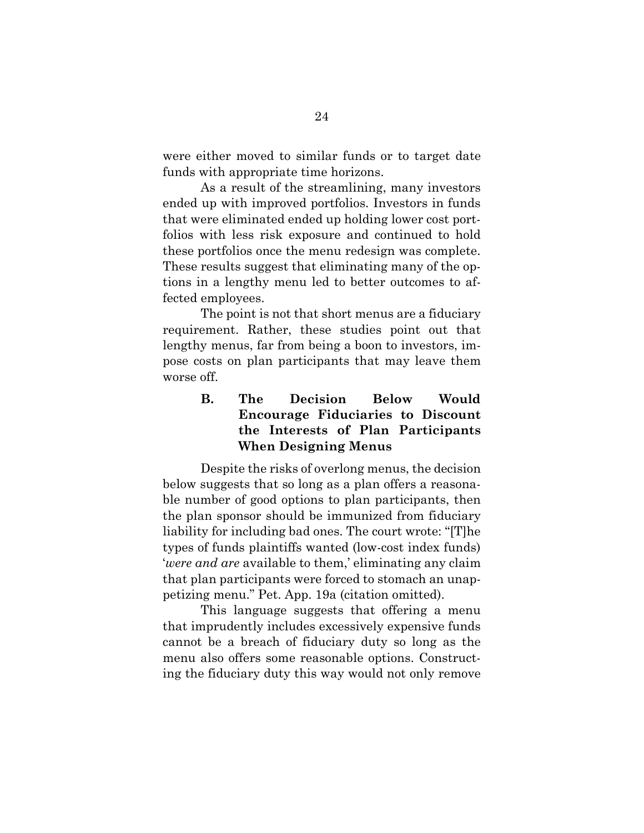were either moved to similar funds or to target date funds with appropriate time horizons.

As a result of the streamlining, many investors ended up with improved portfolios. Investors in funds that were eliminated ended up holding lower cost portfolios with less risk exposure and continued to hold these portfolios once the menu redesign was complete. These results suggest that eliminating many of the options in a lengthy menu led to better outcomes to affected employees.

The point is not that short menus are a fiduciary requirement. Rather, these studies point out that lengthy menus, far from being a boon to investors, impose costs on plan participants that may leave them worse off.

## **B. The Decision Below Would Encourage Fiduciaries to Discount the Interests of Plan Participants When Designing Menus**

Despite the risks of overlong menus, the decision below suggests that so long as a plan offers a reasonable number of good options to plan participants, then the plan sponsor should be immunized from fiduciary liability for including bad ones. The court wrote: "[T]he types of funds plaintiffs wanted (low-cost index funds) '*were and are* available to them,' eliminating any claim that plan participants were forced to stomach an unappetizing menu." Pet. App. 19a (citation omitted).

This language suggests that offering a menu that imprudently includes excessively expensive funds cannot be a breach of fiduciary duty so long as the menu also offers some reasonable options. Constructing the fiduciary duty this way would not only remove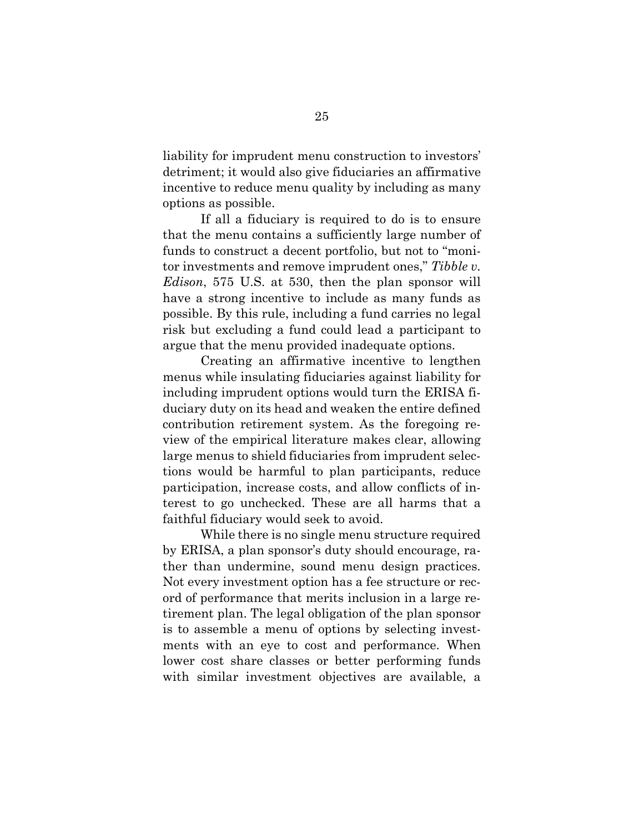liability for imprudent menu construction to investors' detriment; it would also give fiduciaries an affirmative incentive to reduce menu quality by including as many options as possible.

If all a fiduciary is required to do is to ensure that the menu contains a sufficiently large number of funds to construct a decent portfolio, but not to "monitor investments and remove imprudent ones," *Tibble v. Edison*, 575 U.S. at 530, then the plan sponsor will have a strong incentive to include as many funds as possible. By this rule, including a fund carries no legal risk but excluding a fund could lead a participant to argue that the menu provided inadequate options.

Creating an affirmative incentive to lengthen menus while insulating fiduciaries against liability for including imprudent options would turn the ERISA fiduciary duty on its head and weaken the entire defined contribution retirement system. As the foregoing review of the empirical literature makes clear, allowing large menus to shield fiduciaries from imprudent selections would be harmful to plan participants, reduce participation, increase costs, and allow conflicts of interest to go unchecked. These are all harms that a faithful fiduciary would seek to avoid.

While there is no single menu structure required by ERISA, a plan sponsor's duty should encourage, rather than undermine, sound menu design practices. Not every investment option has a fee structure or record of performance that merits inclusion in a large retirement plan. The legal obligation of the plan sponsor is to assemble a menu of options by selecting investments with an eye to cost and performance. When lower cost share classes or better performing funds with similar investment objectives are available, a